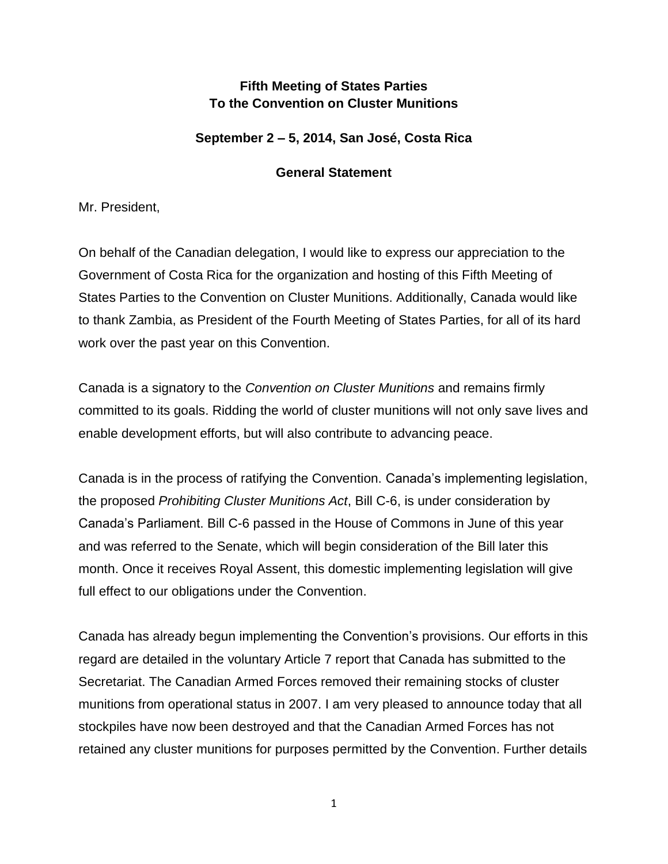## **Fifth Meeting of States Parties To the Convention on Cluster Munitions**

## **September 2 – 5, 2014, San José, Costa Rica**

## **General Statement**

Mr. President,

On behalf of the Canadian delegation, I would like to express our appreciation to the Government of Costa Rica for the organization and hosting of this Fifth Meeting of States Parties to the Convention on Cluster Munitions. Additionally, Canada would like to thank Zambia, as President of the Fourth Meeting of States Parties, for all of its hard work over the past year on this Convention.

Canada is a signatory to the *Convention on Cluster Munitions* and remains firmly committed to its goals. Ridding the world of cluster munitions will not only save lives and enable development efforts, but will also contribute to advancing peace.

Canada is in the process of ratifying the Convention. Canada's implementing legislation, the proposed *Prohibiting Cluster Munitions Act*, Bill C-6, is under consideration by Canada's Parliament. Bill C-6 passed in the House of Commons in June of this year and was referred to the Senate, which will begin consideration of the Bill later this month. Once it receives Royal Assent, this domestic implementing legislation will give full effect to our obligations under the Convention.

Canada has already begun implementing the Convention's provisions. Our efforts in this regard are detailed in the voluntary Article 7 report that Canada has submitted to the Secretariat. The Canadian Armed Forces removed their remaining stocks of cluster munitions from operational status in 2007. I am very pleased to announce today that all stockpiles have now been destroyed and that the Canadian Armed Forces has not retained any cluster munitions for purposes permitted by the Convention. Further details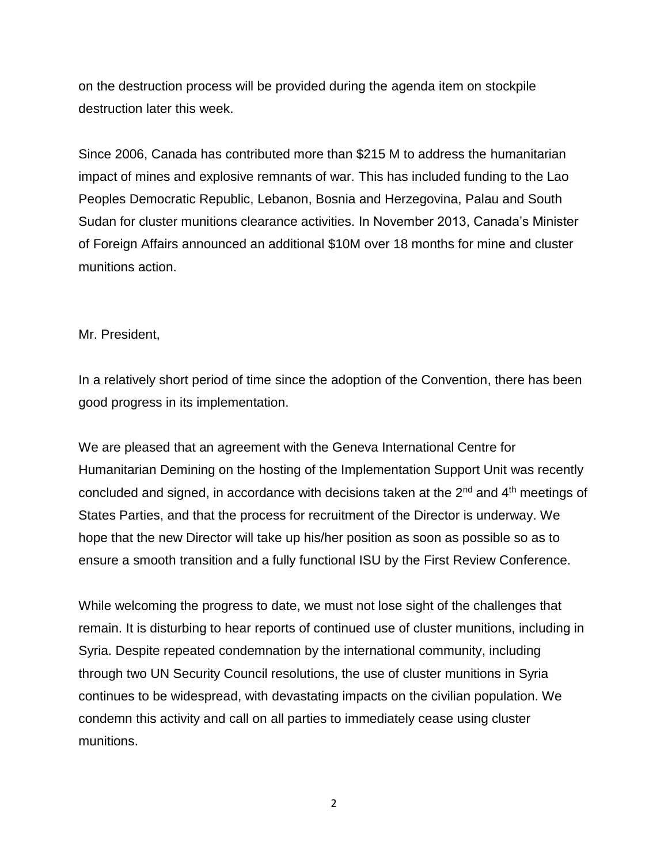on the destruction process will be provided during the agenda item on stockpile destruction later this week.

Since 2006, Canada has contributed more than \$215 M to address the humanitarian impact of mines and explosive remnants of war. This has included funding to the Lao Peoples Democratic Republic, Lebanon, Bosnia and Herzegovina, Palau and South Sudan for cluster munitions clearance activities. In November 2013, Canada's Minister of Foreign Affairs announced an additional \$10M over 18 months for mine and cluster munitions action.

Mr. President,

In a relatively short period of time since the adoption of the Convention, there has been good progress in its implementation.

We are pleased that an agreement with the Geneva International Centre for Humanitarian Demining on the hosting of the Implementation Support Unit was recently concluded and signed, in accordance with decisions taken at the  $2<sup>nd</sup>$  and  $4<sup>th</sup>$  meetings of States Parties, and that the process for recruitment of the Director is underway. We hope that the new Director will take up his/her position as soon as possible so as to ensure a smooth transition and a fully functional ISU by the First Review Conference.

While welcoming the progress to date, we must not lose sight of the challenges that remain. It is disturbing to hear reports of continued use of cluster munitions, including in Syria. Despite repeated condemnation by the international community, including through two UN Security Council resolutions, the use of cluster munitions in Syria continues to be widespread, with devastating impacts on the civilian population. We condemn this activity and call on all parties to immediately cease using cluster munitions.